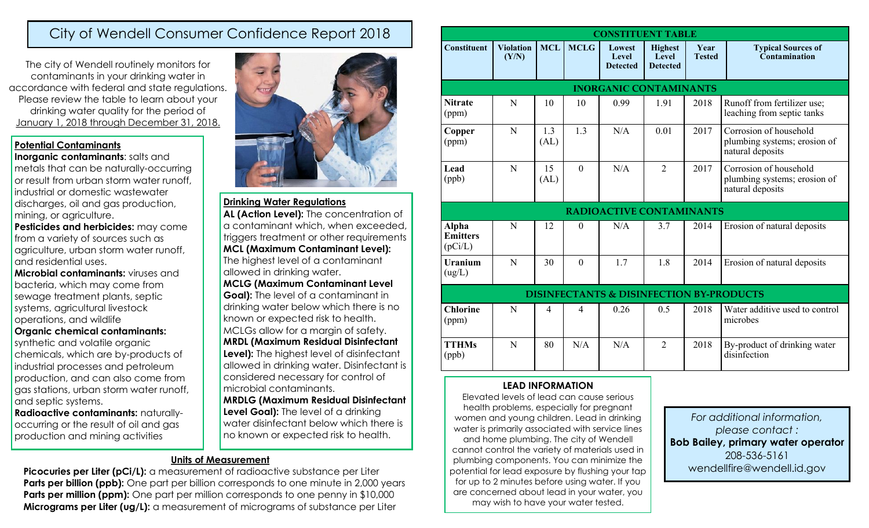# City of Wendell Consumer Confidence Report 2018

The city of Wendell routinely monitors for contaminants in your drinking water in accordance with federal and state regulations. Please review the table to learn about your drinking water quality for the period of January 1, 2018 through December 31, 2018.

#### **Potential Contaminants**

**Inorganic contaminants**: salts and metals that can be naturally-occurring or result from urban storm water runoff, industrial or domestic wastewater discharges, oil and gas production, mining, or agriculture.

**Pesticides and herbicides:** may come from a variety of sources such as agriculture, urban storm water runoff, and residential uses.

**Microbial contaminants:** viruses and bacteria, which may come from sewage treatment plants, septic systems, agricultural livestock operations, and wildlife **Organic chemical contaminants:** 

synthetic and volatile organic chemicals, which are by-products of industrial processes and petroleum production, and can also come from gas stations, urban storm water runoff, and septic systems.

**Radioactive contaminants:** naturallyoccurring or the result of oil and gas production and mining activities



#### **Drinking Water Regulations**

AL (Action Level): The concentration of a contaminant which, when exceeded, triggers treatment or other requirements **MCL (Maximum Contaminant Level):**  The highest level of a contaminant allowed in drinking water.

**MCLG (Maximum Contaminant Level Goal):** The level of a contaminant in drinking water below which there is no known or expected risk to health. MCLGs allow for a margin of safety. **MRDL (Maximum Residual Disinfectant Level):** The highest level of disinfectant

allowed in drinking water. Disinfectant is considered necessary for control of microbial contaminants.

**MRDLG (Maximum Residual Disinfectant Level Goal):** The level of a drinking water disinfectant below which there is no known or expected risk to health.

## **Units of Measurement**

**Picocuries per Liter (pCi/L):** a measurement of radioactive substance per Liter **Parts per billion (ppb):** One part per billion corresponds to one minute in 2,000 years **Parts per million (ppm):** One part per million corresponds to one penny in \$10,000 **Micrograms per Liter (ug/L):** a measurement of micrograms of substance per Liter

| <b>CONSTITUENT TABLE</b>                            |                           |                |                |                                    |                                            |                       |                                                                            |
|-----------------------------------------------------|---------------------------|----------------|----------------|------------------------------------|--------------------------------------------|-----------------------|----------------------------------------------------------------------------|
| <b>Constituent</b>                                  | <b>Violation</b><br>(Y/N) | <b>MCL</b>     | <b>MCLG</b>    | Lowest<br>Level<br><b>Detected</b> | <b>Highest</b><br>Level<br><b>Detected</b> | Year<br><b>Tested</b> | <b>Typical Sources of</b><br>Contamination                                 |
| <b>INORGANIC CONTAMINANTS</b>                       |                           |                |                |                                    |                                            |                       |                                                                            |
| <b>Nitrate</b><br>(ppm)                             | N                         | 10             | 10             | 0.99                               | 1.91                                       | 2018                  | Runoff from fertilizer use;<br>leaching from septic tanks                  |
| Copper<br>(ppm)                                     | N                         | 1.3<br>(AL)    | 1.3            | N/A                                | 0.01                                       | 2017                  | Corrosion of household<br>plumbing systems; erosion of<br>natural deposits |
| Lead<br>(ppb)                                       | N                         | 15<br>(AL)     | $\theta$       | N/A                                | $\overline{2}$                             | 2017                  | Corrosion of household<br>plumbing systems; erosion of<br>natural deposits |
| <b>RADIOACTIVE CONTAMINANTS</b>                     |                           |                |                |                                    |                                            |                       |                                                                            |
| <b>Alpha</b><br><b>Emitters</b><br>(pCi/L)          | N                         | 12             | $\theta$       | N/A                                | 3.7                                        | 2014                  | Erosion of natural deposits                                                |
| <b>Uranium</b><br>(ug/L)                            | N                         | 30             | $\mathbf{0}$   | 1.7                                | 1.8                                        | 2014                  | Erosion of natural deposits                                                |
| <b>DISINFECTANTS &amp; DISINFECTION BY-PRODUCTS</b> |                           |                |                |                                    |                                            |                       |                                                                            |
| <b>Chlorine</b><br>(ppm)                            | N                         | $\overline{4}$ | $\overline{4}$ | 0.26                               | 0.5                                        | 2018                  | Water additive used to control<br>microbes                                 |
| <b>TTHMs</b><br>(ppb)                               | N                         | 80             | N/A            | N/A                                | $\overline{2}$                             | 2018                  | By-product of drinking water<br>disinfection                               |

#### **LEAD INFORMATION**

Elevated levels of lead can cause serious health problems, especially for pregnant women and young children. Lead in drinking water is primarily associated with service lines and home plumbing. The city of Wendell cannot control the variety of materials used in plumbing components. You can minimize the potential for lead exposure by flushing your tap for up to 2 minutes before using water. If you are concerned about lead in your water, you may wish to have your water tested.

*For additional information, please contact :* **Bob Bailey, primary water operator** 208-536-5161 wendellfire@wendell.id.gov